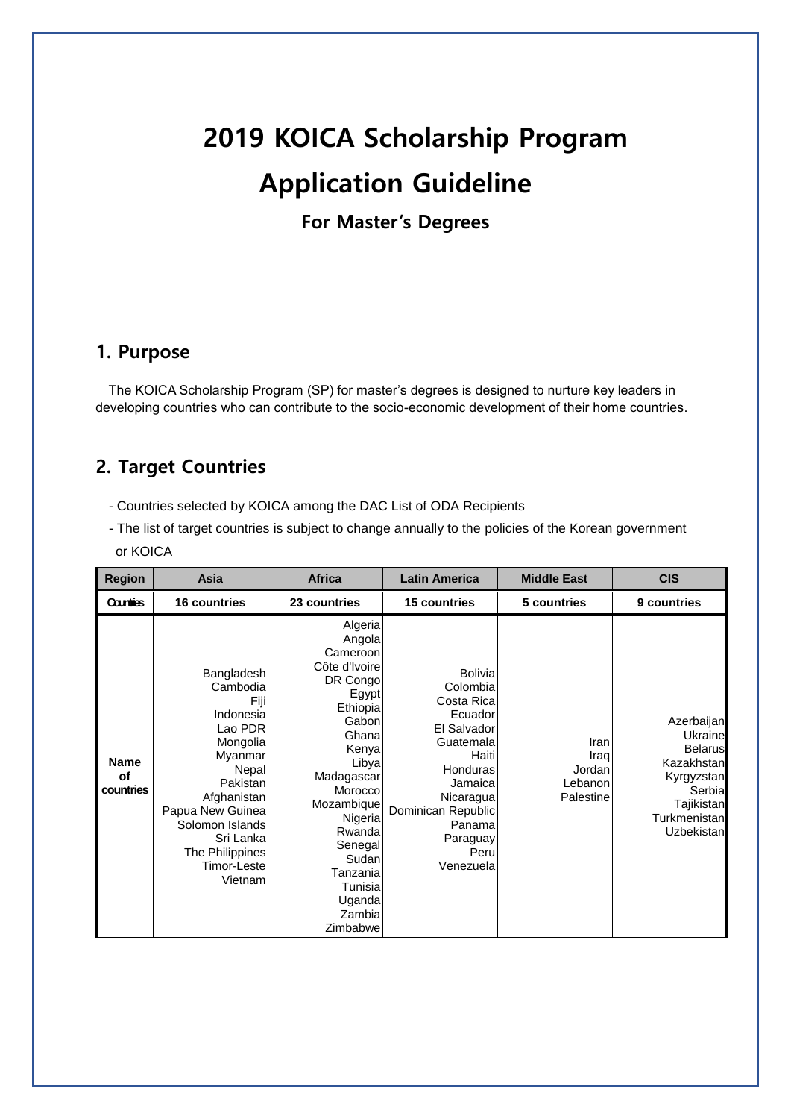# **2019 KOICA Scholarship Program Application Guideline**

**For Master's Degrees**

## **1. Purpose**

The KOICA Scholarship Program (SP) for master's degrees is designed to nurture key leaders in developing countries who can contribute to the socio-economic development of their home countries.

# **2. Target Countries**

- Countries selected by KOICA among the DAC List of ODA Recipients
- The list of target countries is subject to change annually to the policies of the Korean government or KOICA

| <b>Region</b>                  | Asia                                                                                                                                                                                                               | <b>Africa</b>                                                                                                                                                                                                                                                 | <b>Latin America</b>                                                                                                                                                                          | <b>Middle East</b>                             | <b>CIS</b>                                                                                                                        |
|--------------------------------|--------------------------------------------------------------------------------------------------------------------------------------------------------------------------------------------------------------------|---------------------------------------------------------------------------------------------------------------------------------------------------------------------------------------------------------------------------------------------------------------|-----------------------------------------------------------------------------------------------------------------------------------------------------------------------------------------------|------------------------------------------------|-----------------------------------------------------------------------------------------------------------------------------------|
| <b>Countries</b>               | <b>16 countries</b>                                                                                                                                                                                                | 23 countries                                                                                                                                                                                                                                                  | <b>15 countries</b>                                                                                                                                                                           | 5 countries                                    | 9 countries                                                                                                                       |
| <b>Name</b><br>of<br>countries | Bangladesh<br>Cambodia<br>Fiji<br>Indonesia<br>Lao PDR<br>Mongolia<br>Myanmar<br>Nepal<br>Pakistan<br>Afghanistan<br>Papua New Guinea<br>Solomon Islands<br>Sri Lanka<br>The Philippines<br>Timor-Leste<br>Vietnam | Algeria<br>Angola<br>Cameroon<br>Côte d'Ivoire<br>DR Congo<br>Egypt<br>Ethiopial<br>Gabonl<br>Ghana<br>Kenya<br>Libya<br>Madagascar<br>Moroccol<br>Mozambique<br>Nigeria<br>Rwanda<br>Senegal<br>Sudan<br>Tanzania<br>Tunisia<br>Uganda<br>Zambia<br>Zimbabwe | <b>Bolivia</b><br>Colombia<br>Costa Rica<br>Ecuador<br>El Salvador<br>Guatemala<br>Haiti<br>Honduras<br>Jamaica<br>Nicaragua<br>Dominican Republic<br>Panama<br>Paraguay<br>Peru<br>Venezuela | Iran<br>Iraq<br>Jordan<br>Lebanon<br>Palestine | Azerbaijan<br>Ukraine<br><b>Belarus</b><br>Kazakhstan<br>Kyrgyzstan<br>Serbial<br>Tajikistan<br>Turkmenistan<br><b>Uzbekistan</b> |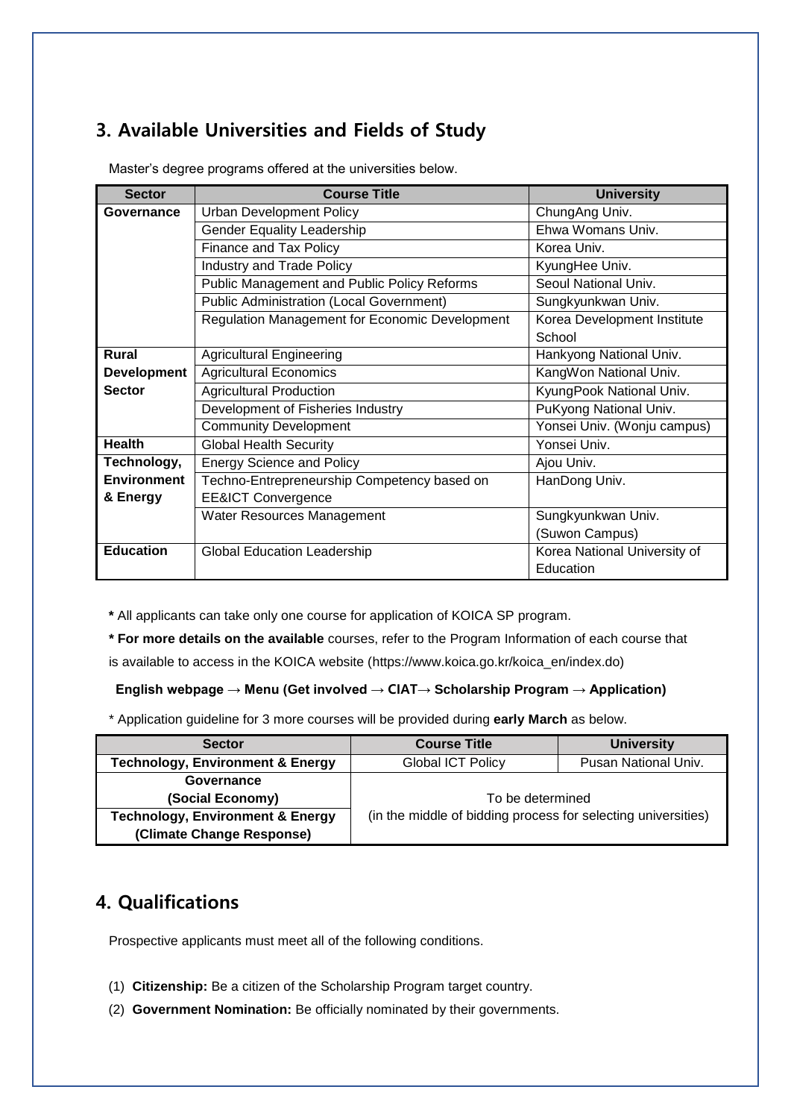# **3. Available Universities and Fields of Study**

| <b>Sector</b>      | <b>Course Title</b>                                   | <b>University</b>            |
|--------------------|-------------------------------------------------------|------------------------------|
| Governance         | <b>Urban Development Policy</b>                       | ChungAng Univ.               |
|                    | <b>Gender Equality Leadership</b>                     | Ehwa Womans Univ.            |
|                    | <b>Finance and Tax Policy</b>                         | Korea Univ.                  |
|                    | <b>Industry and Trade Policy</b>                      | KyungHee Univ.               |
|                    | <b>Public Management and Public Policy Reforms</b>    | Seoul National Univ.         |
|                    | <b>Public Administration (Local Government)</b>       | Sungkyunkwan Univ.           |
|                    | <b>Regulation Management for Economic Development</b> | Korea Development Institute  |
|                    |                                                       | School                       |
| <b>Rural</b>       | <b>Agricultural Engineering</b>                       | Hankyong National Univ.      |
| <b>Development</b> | <b>Agricultural Economics</b>                         | KangWon National Univ.       |
| <b>Sector</b>      | <b>Agricultural Production</b>                        | KyungPook National Univ.     |
|                    | Development of Fisheries Industry                     | PuKyong National Univ.       |
|                    | <b>Community Development</b>                          | Yonsei Univ. (Wonju campus)  |
| <b>Health</b>      | <b>Global Health Security</b>                         | Yonsei Univ.                 |
| Technology,        | <b>Energy Science and Policy</b>                      | Ajou Univ.                   |
| <b>Environment</b> | Techno-Entrepreneurship Competency based on           | HanDong Univ.                |
| & Energy           | <b>EE&amp;ICT Convergence</b>                         |                              |
|                    | Water Resources Management                            | Sungkyunkwan Univ.           |
|                    |                                                       | (Suwon Campus)               |
| <b>Education</b>   | <b>Global Education Leadership</b>                    | Korea National University of |
|                    |                                                       | Education                    |

Master's degree programs offered at the universities below.

**\*** All applicants can take only one course for application of KOICA SP program.

**\* For more details on the available** courses, refer to the Program Information of each course that

is available to access in the KOICA website (https://www.koica.go.kr/koica\_en/index.do)

#### **English webpage → Menu (Get involved → CIAT→ Scholarship Program → Application)**

\* Application guideline for 3 more courses will be provided during **early March** as below.

| <b>Sector</b>                               | <b>Course Title</b>                                           | <b>University</b>    |
|---------------------------------------------|---------------------------------------------------------------|----------------------|
| <b>Technology, Environment &amp; Energy</b> | <b>Global ICT Policy</b>                                      | Pusan National Univ. |
| Governance                                  |                                                               |                      |
| (Social Economy)                            | To be determined                                              |                      |
| <b>Technology, Environment &amp; Energy</b> | (in the middle of bidding process for selecting universities) |                      |
| (Climate Change Response)                   |                                                               |                      |

## **4. Qualifications**

Prospective applicants must meet all of the following conditions.

- (1) **Citizenship:** Be a citizen of the Scholarship Program target country.
- (2) **Government Nomination:** Be officially nominated by their governments.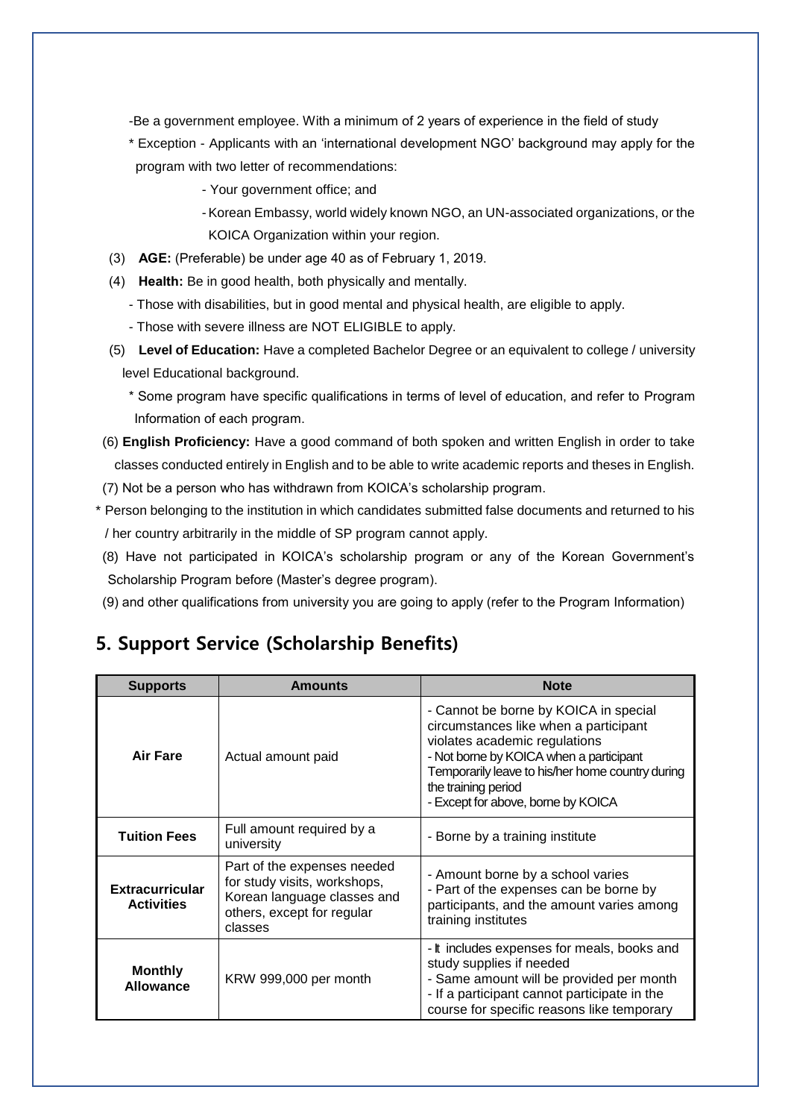-Be a government employee. With a minimum of 2 years of experience in the field of study

- \* Exception Applicants with an 'international development NGO' background may apply for the program with two letter of recommendations:
	- Your government office; and
	- -Korean Embassy, world widely known NGO, an UN-associated organizations, or the KOICA Organization within your region.
- (3) **AGE:** (Preferable) be under age 40 as of February 1, 2019.
- (4) **Health:** Be in good health, both physically and mentally.
	- Those with disabilities, but in good mental and physical health, are eligible to apply.
	- Those with severe illness are NOT ELIGIBLE to apply.
- (5) **Level of Education:** Have a completed Bachelor Degree or an equivalent to college / university level Educational background.
	- \* Some program have specific qualifications in terms of level of education, and refer to Program Information of each program.
- (6) **English Proficiency:** Have a good command of both spoken and written English in order to take classes conducted entirely in English and to be able to write academic reports and theses in English.

(7) Not be a person who has withdrawn from KOICA's scholarship program.

- \* Person belonging to the institution in which candidates submitted false documents and returned to his / her country arbitrarily in the middle of SP program cannot apply.
- (8) Have not participated in KOICA's scholarship program or any of the Korean Government's Scholarship Program before (Master's degree program).
- (9) and other qualifications from university you are going to apply (refer to the Program Information)

| <b>Supports</b>                                                                                                                                                                    | <b>Amounts</b>                          | <b>Note</b>                                                                                                                                                                                                                                                                 |
|------------------------------------------------------------------------------------------------------------------------------------------------------------------------------------|-----------------------------------------|-----------------------------------------------------------------------------------------------------------------------------------------------------------------------------------------------------------------------------------------------------------------------------|
| Air Fare                                                                                                                                                                           | Actual amount paid                      | - Cannot be borne by KOICA in special<br>circumstances like when a participant<br>violates academic regulations<br>- Not borne by KOICA when a participant<br>Temporarily leave to his/her home country during<br>the training period<br>- Except for above, borne by KOICA |
| <b>Tuition Fees</b>                                                                                                                                                                | Full amount required by a<br>university | - Borne by a training institute                                                                                                                                                                                                                                             |
| Part of the expenses needed<br>for study visits, workshops,<br><b>Extracurricular</b><br>Korean language classes and<br><b>Activities</b><br>others, except for regular<br>classes |                                         | - Amount borne by a school varies<br>- Part of the expenses can be borne by<br>participants, and the amount varies among<br>training institutes                                                                                                                             |
| <b>Monthly</b><br><b>Allowance</b>                                                                                                                                                 | KRW 999,000 per month                   | - It includes expenses for meals, books and<br>study supplies if needed<br>- Same amount will be provided per month<br>- If a participant cannot participate in the<br>course for specific reasons like temporary                                                           |

# **5. Support Service (Scholarship Benefits)**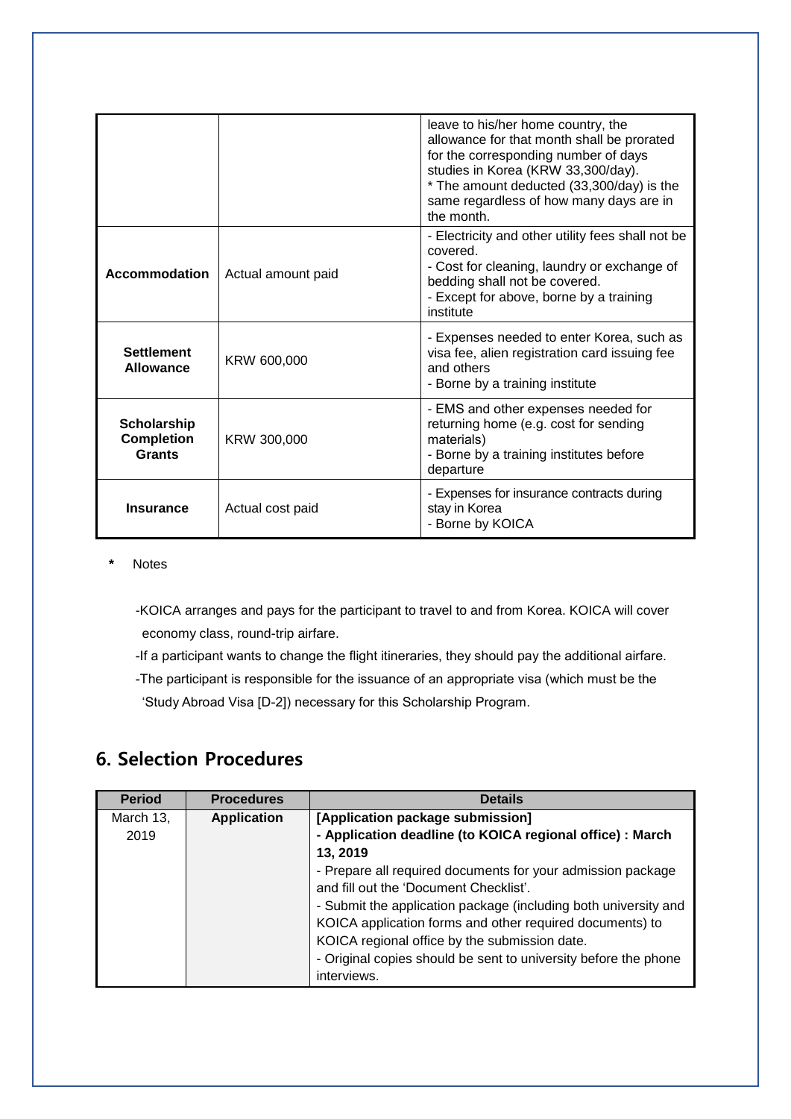|                                                   |                    | leave to his/her home country, the<br>allowance for that month shall be prorated<br>for the corresponding number of days<br>studies in Korea (KRW 33,300/day).<br>* The amount deducted (33,300/day) is the<br>same regardless of how many days are in<br>the month. |
|---------------------------------------------------|--------------------|----------------------------------------------------------------------------------------------------------------------------------------------------------------------------------------------------------------------------------------------------------------------|
| Accommodation                                     | Actual amount paid | - Electricity and other utility fees shall not be<br>covered.<br>- Cost for cleaning, laundry or exchange of<br>bedding shall not be covered.<br>- Except for above, borne by a training<br>institute                                                                |
| <b>Settlement</b><br><b>Allowance</b>             | KRW 600,000        | - Expenses needed to enter Korea, such as<br>visa fee, alien registration card issuing fee<br>and others<br>- Borne by a training institute                                                                                                                          |
| <b>Scholarship</b><br><b>Completion</b><br>Grants | KRW 300,000        | - EMS and other expenses needed for<br>returning home (e.g. cost for sending<br>materials)<br>- Borne by a training institutes before<br>departure                                                                                                                   |
| <b>Insurance</b>                                  | Actual cost paid   | - Expenses for insurance contracts during<br>stay in Korea<br>- Borne by KOICA                                                                                                                                                                                       |

- **\*** Notes
	- -KOICA arranges and pays for the participant to travel to and from Korea. KOICA will cover economy class, round-trip airfare.
	- -If a participant wants to change the flight itineraries, they should pay the additional airfare.
	- -The participant is responsible for the issuance of an appropriate visa (which must be the 'Study Abroad Visa [D-2]) necessary for this Scholarship Program.

# **6. Selection Procedures**

| <b>Period</b> | <b>Procedures</b>  | <b>Details</b>                                                  |
|---------------|--------------------|-----------------------------------------------------------------|
| March 13,     | <b>Application</b> | [Application package submission]                                |
| 2019          |                    | - Application deadline (to KOICA regional office) : March       |
|               |                    | 13, 2019                                                        |
|               |                    | - Prepare all required documents for your admission package     |
|               |                    | and fill out the 'Document Checklist'.                          |
|               |                    | - Submit the application package (including both university and |
|               |                    | KOICA application forms and other required documents) to        |
|               |                    | KOICA regional office by the submission date.                   |
|               |                    | - Original copies should be sent to university before the phone |
|               |                    | interviews.                                                     |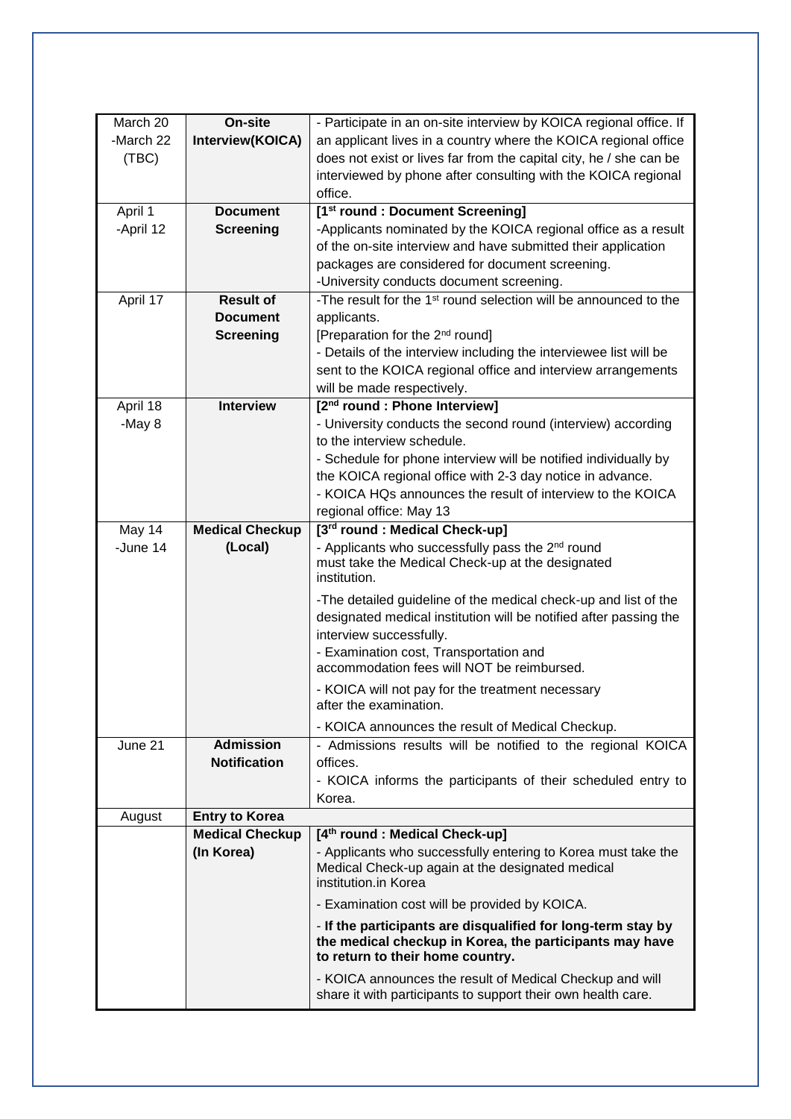| March 20  | On-site                | - Participate in an on-site interview by KOICA regional office. If                                                       |  |
|-----------|------------------------|--------------------------------------------------------------------------------------------------------------------------|--|
| -March 22 | Interview(KOICA)       | an applicant lives in a country where the KOICA regional office                                                          |  |
| (TBC)     |                        | does not exist or lives far from the capital city, he / she can be                                                       |  |
|           |                        | interviewed by phone after consulting with the KOICA regional                                                            |  |
|           |                        | office.                                                                                                                  |  |
| April 1   | <b>Document</b>        | [1 <sup>st</sup> round : Document Screening]                                                                             |  |
| -April 12 | <b>Screening</b>       | -Applicants nominated by the KOICA regional office as a result                                                           |  |
|           |                        | of the on-site interview and have submitted their application                                                            |  |
|           |                        | packages are considered for document screening.                                                                          |  |
|           |                        |                                                                                                                          |  |
|           | <b>Result of</b>       | -University conducts document screening.<br>-The result for the 1 <sup>st</sup> round selection will be announced to the |  |
| April 17  |                        |                                                                                                                          |  |
|           | <b>Document</b>        | applicants.                                                                                                              |  |
|           | <b>Screening</b>       | [Preparation for the 2 <sup>nd</sup> round]                                                                              |  |
|           |                        | - Details of the interview including the interviewee list will be                                                        |  |
|           |                        | sent to the KOICA regional office and interview arrangements                                                             |  |
|           |                        | will be made respectively.                                                                                               |  |
| April 18  | <b>Interview</b>       | [2 <sup>nd</sup> round : Phone Interview]                                                                                |  |
| -May 8    |                        | - University conducts the second round (interview) according                                                             |  |
|           |                        | to the interview schedule.                                                                                               |  |
|           |                        | - Schedule for phone interview will be notified individually by                                                          |  |
|           |                        | the KOICA regional office with 2-3 day notice in advance.                                                                |  |
|           |                        | - KOICA HQs announces the result of interview to the KOICA                                                               |  |
|           |                        | regional office: May 13                                                                                                  |  |
| May 14    | <b>Medical Checkup</b> | [3rd round : Medical Check-up]                                                                                           |  |
| -June 14  | (Local)                | - Applicants who successfully pass the 2 <sup>nd</sup> round                                                             |  |
|           |                        | must take the Medical Check-up at the designated                                                                         |  |
|           |                        | institution.                                                                                                             |  |
|           |                        | -The detailed guideline of the medical check-up and list of the                                                          |  |
|           |                        | designated medical institution will be notified after passing the                                                        |  |
|           |                        | interview successfully.                                                                                                  |  |
|           |                        | - Examination cost, Transportation and                                                                                   |  |
|           |                        | accommodation fees will NOT be reimbursed.                                                                               |  |
|           |                        | - KOICA will not pay for the treatment necessary                                                                         |  |
|           |                        | after the examination.                                                                                                   |  |
|           |                        | - KOICA announces the result of Medical Checkup.                                                                         |  |
| June 21   | <b>Admission</b>       | - Admissions results will be notified to the regional KOICA                                                              |  |
|           | <b>Notification</b>    | offices.                                                                                                                 |  |
|           |                        |                                                                                                                          |  |
|           |                        | - KOICA informs the participants of their scheduled entry to                                                             |  |
|           | <b>Entry to Korea</b>  | Korea.                                                                                                                   |  |
| August    | <b>Medical Checkup</b> | [4 <sup>th</sup> round: Medical Check-up]                                                                                |  |
|           | (In Korea)             | - Applicants who successfully entering to Korea must take the                                                            |  |
|           |                        | Medical Check-up again at the designated medical                                                                         |  |
|           |                        | institution.in Korea                                                                                                     |  |
|           |                        | - Examination cost will be provided by KOICA.                                                                            |  |
|           |                        | - If the participants are disqualified for long-term stay by                                                             |  |
|           |                        | the medical checkup in Korea, the participants may have                                                                  |  |
|           |                        | to return to their home country.                                                                                         |  |
|           |                        | - KOICA announces the result of Medical Checkup and will                                                                 |  |
|           |                        | share it with participants to support their own health care.                                                             |  |
|           |                        |                                                                                                                          |  |